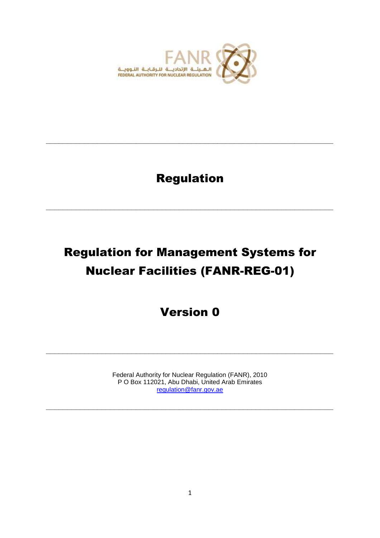

## Regulation

**\_\_\_\_\_\_\_\_\_\_\_\_\_\_\_\_\_\_\_\_\_\_\_\_\_\_\_\_\_\_\_\_\_\_\_\_\_\_\_\_\_\_\_\_\_\_\_\_\_\_\_\_\_\_\_\_\_\_\_\_\_\_\_\_\_\_\_**

**\_\_\_\_\_\_\_\_\_\_\_\_\_\_\_\_\_\_\_\_\_\_\_\_\_\_\_\_\_\_\_\_\_\_\_\_\_\_\_\_\_\_\_\_\_\_\_\_\_\_\_\_\_\_\_\_\_\_\_\_\_\_\_\_\_\_\_**

# Regulation for Management Systems for Nuclear Facilities (FANR-REG-01)

## Version 0

Federal Authority for Nuclear Regulation (FANR), 2010 P O Box 112021, Abu Dhabi, United Arab Emirates [regulation@fanr.gov.ae](mailto:regulation@fanr.gov.ae)

**\_\_\_\_\_\_\_\_\_\_\_\_\_\_\_\_\_\_\_\_\_\_\_\_\_\_\_\_\_\_\_\_\_\_\_\_\_\_\_\_\_\_\_\_\_\_\_\_\_\_\_\_\_\_\_\_\_\_\_\_\_\_\_\_\_\_\_**

**\_\_\_\_\_\_\_\_\_\_\_\_\_\_\_\_\_\_\_\_\_\_\_\_\_\_\_\_\_\_\_\_\_\_\_\_\_\_\_\_\_\_\_\_\_\_\_\_\_\_\_\_\_\_\_\_\_\_\_\_\_\_\_\_\_\_\_**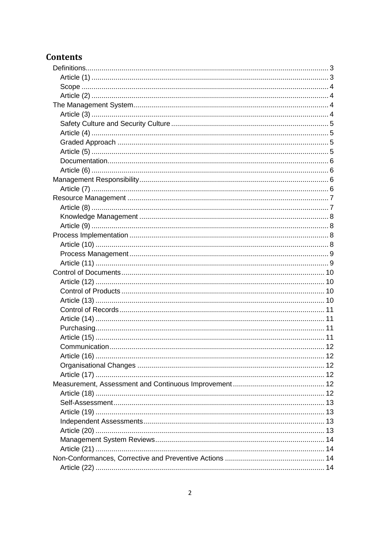### **Contents**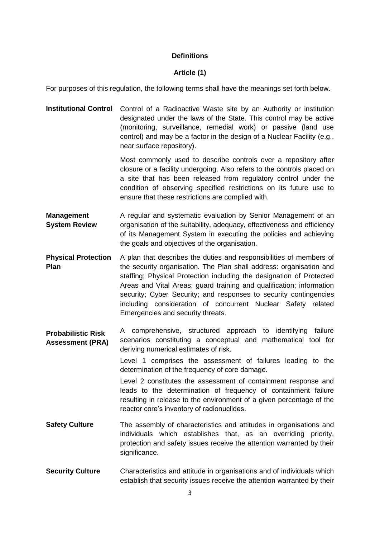#### **Definitions**

#### **Article (1)**

<span id="page-2-1"></span><span id="page-2-0"></span>For purposes of this regulation, the following terms shall have the meanings set forth below.

**Institutional Control** Control of a Radioactive Waste site by an Authority or institution designated under the laws of the State. This control may be active (monitoring, surveillance, remedial work) or passive (land use control) and may be a factor in the design of a Nuclear Facility (e.g., near surface repository).

> Most commonly used to describe controls over a repository after closure or a facility undergoing. Also refers to the controls placed on a site that has been released from regulatory control under the condition of observing specified restrictions on its future use to ensure that these restrictions are complied with.

- **Management System Review** A regular and systematic evaluation by Senior Management of an organisation of the suitability, adequacy, effectiveness and efficiency of its Management System in executing the policies and achieving the goals and objectives of the organisation.
- **Physical Protection Plan** A plan that describes the duties and responsibilities of members of the security organisation. The Plan shall address: organisation and staffing; Physical Protection including the designation of Protected Areas and Vital Areas; guard training and qualification; information security; Cyber Security; and responses to security contingencies including consideration of concurrent Nuclear Safety related Emergencies and security threats.
- **Probabilistic Risk Assessment (PRA)** A comprehensive, structured approach to identifying failure scenarios constituting a conceptual and mathematical tool for deriving numerical estimates of risk.

Level 1 comprises the assessment of failures leading to the determination of the frequency of core damage.

Level 2 constitutes the assessment of containment response and leads to the determination of frequency of containment failure resulting in release to the environment of a given percentage of the reactor core's inventory of radionuclides.

- **Safety Culture** The assembly of characteristics and attitudes in organisations and individuals which establishes that, as an overriding priority, protection and safety issues receive the attention warranted by their significance.
- **Security Culture** Characteristics and attitude in organisations and of individuals which establish that security issues receive the attention warranted by their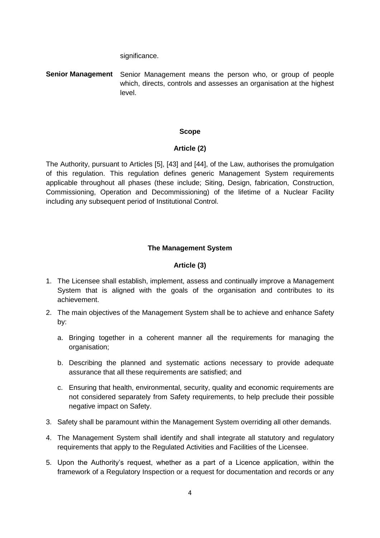significance.

<span id="page-3-0"></span>**Senior Management** Senior Management means the person who, or group of people which, directs, controls and assesses an organisation at the highest level.

#### **Scope**

#### **Article (2)**

<span id="page-3-1"></span>The Authority, pursuant to Articles [5], [43] and [44], of the Law, authorises the promulgation of this regulation. This regulation defines generic Management System requirements applicable throughout all phases (these include; Siting, Design, fabrication, Construction, Commissioning, Operation and Decommissioning) of the lifetime of a Nuclear Facility including any subsequent period of Institutional Control.

#### **The Management System**

#### **Article (3)**

- <span id="page-3-3"></span><span id="page-3-2"></span>1. The Licensee shall establish, implement, assess and continually improve a Management System that is aligned with the goals of the organisation and contributes to its achievement.
- 2. The main objectives of the Management System shall be to achieve and enhance Safety by:
	- a. Bringing together in a coherent manner all the requirements for managing the organisation;
	- b. Describing the planned and systematic actions necessary to provide adequate assurance that all these requirements are satisfied; and
	- c. Ensuring that health, environmental, security, quality and economic requirements are not considered separately from Safety requirements, to help preclude their possible negative impact on Safety.
- 3. Safety shall be paramount within the Management System overriding all other demands.
- 4. The Management System shall identify and shall integrate all statutory and regulatory requirements that apply to the Regulated Activities and Facilities of the Licensee.
- 5. Upon the Authority's request, whether as a part of a Licence application, within the framework of a Regulatory Inspection or a request for documentation and records or any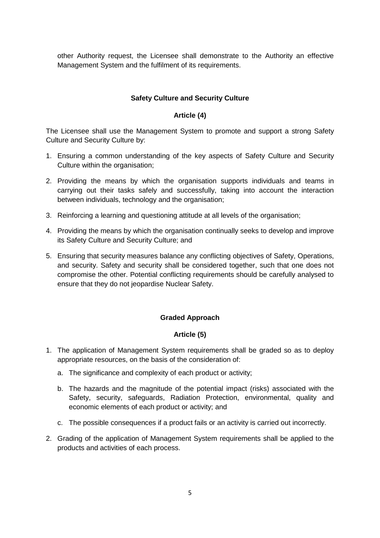other Authority request, the Licensee shall demonstrate to the Authority an effective Management System and the fulfilment of its requirements.

#### **Safety Culture and Security Culture**

#### **Article (4)**

<span id="page-4-1"></span><span id="page-4-0"></span>The Licensee shall use the Management System to promote and support a strong Safety Culture and Security Culture by:

- 1. Ensuring a common understanding of the key aspects of Safety Culture and Security Culture within the organisation;
- 2. Providing the means by which the organisation supports individuals and teams in carrying out their tasks safely and successfully, taking into account the interaction between individuals, technology and the organisation;
- 3. Reinforcing a learning and questioning attitude at all levels of the organisation;
- 4. Providing the means by which the organisation continually seeks to develop and improve its Safety Culture and Security Culture; and
- 5. Ensuring that security measures balance any conflicting objectives of Safety, Operations, and security. Safety and security shall be considered together, such that one does not compromise the other. Potential conflicting requirements should be carefully analysed to ensure that they do not jeopardise Nuclear Safety.

#### **Graded Approach**

#### **Article (5)**

- <span id="page-4-3"></span><span id="page-4-2"></span>1. The application of Management System requirements shall be graded so as to deploy appropriate resources, on the basis of the consideration of:
	- a. The significance and complexity of each product or activity;
	- b. The hazards and the magnitude of the potential impact (risks) associated with the Safety, security, safeguards, Radiation Protection, environmental, quality and economic elements of each product or activity; and
	- c. The possible consequences if a product fails or an activity is carried out incorrectly.
- 2. Grading of the application of Management System requirements shall be applied to the products and activities of each process.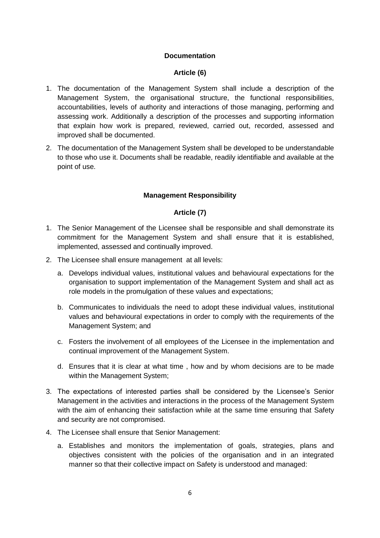#### **Documentation**

#### **Article (6)**

- <span id="page-5-1"></span><span id="page-5-0"></span>1. The documentation of the Management System shall include a description of the Management System, the organisational structure, the functional responsibilities, accountabilities, levels of authority and interactions of those managing, performing and assessing work. Additionally a description of the processes and supporting information that explain how work is prepared, reviewed, carried out, recorded, assessed and improved shall be documented.
- 2. The documentation of the Management System shall be developed to be understandable to those who use it. Documents shall be readable, readily identifiable and available at the point of use.

#### **Management Responsibility**

#### **Article (7)**

- <span id="page-5-3"></span><span id="page-5-2"></span>1. The Senior Management of the Licensee shall be responsible and shall demonstrate its commitment for the Management System and shall ensure that it is established, implemented, assessed and continually improved.
- 2. The Licensee shall ensure management at all levels:
	- a. Develops individual values, institutional values and behavioural expectations for the organisation to support implementation of the Management System and shall act as role models in the promulgation of these values and expectations;
	- b. Communicates to individuals the need to adopt these individual values, institutional values and behavioural expectations in order to comply with the requirements of the Management System; and
	- c. Fosters the involvement of all employees of the Licensee in the implementation and continual improvement of the Management System.
	- d. Ensures that it is clear at what time , how and by whom decisions are to be made within the Management System;
- 3. The expectations of interested parties shall be considered by the Licensee's Senior Management in the activities and interactions in the process of the Management System with the aim of enhancing their satisfaction while at the same time ensuring that Safety and security are not compromised.
- 4. The Licensee shall ensure that Senior Management:
	- a. Establishes and monitors the implementation of goals, strategies, plans and objectives consistent with the policies of the organisation and in an integrated manner so that their collective impact on Safety is understood and managed: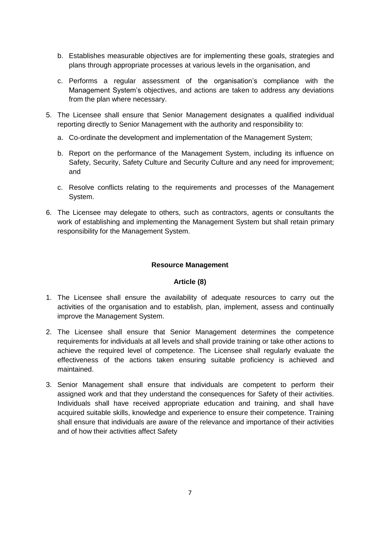- b. Establishes measurable objectives are for implementing these goals, strategies and plans through appropriate processes at various levels in the organisation, and
- c. Performs a regular assessment of the organisation's compliance with the Management System's objectives, and actions are taken to address any deviations from the plan where necessary.
- 5. The Licensee shall ensure that Senior Management designates a qualified individual reporting directly to Senior Management with the authority and responsibility to:
	- a. Co-ordinate the development and implementation of the Management System;
	- b. Report on the performance of the Management System, including its influence on Safety, Security, Safety Culture and Security Culture and any need for improvement; and
	- c. Resolve conflicts relating to the requirements and processes of the Management System.
- 6. The Licensee may delegate to others, such as contractors, agents or consultants the work of establishing and implementing the Management System but shall retain primary responsibility for the Management System.

#### **Resource Management**

#### **Article (8)**

- <span id="page-6-1"></span><span id="page-6-0"></span>1. The Licensee shall ensure the availability of adequate resources to carry out the activities of the organisation and to establish, plan, implement, assess and continually improve the Management System.
- 2. The Licensee shall ensure that Senior Management determines the competence requirements for individuals at all levels and shall provide training or take other actions to achieve the required level of competence. The Licensee shall regularly evaluate the effectiveness of the actions taken ensuring suitable proficiency is achieved and maintained.
- 3. Senior Management shall ensure that individuals are competent to perform their assigned work and that they understand the consequences for Safety of their activities. Individuals shall have received appropriate education and training, and shall have acquired suitable skills, knowledge and experience to ensure their competence. Training shall ensure that individuals are aware of the relevance and importance of their activities and of how their activities affect Safety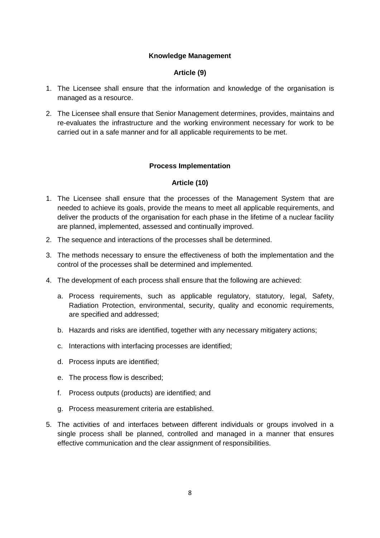#### **Knowledge Management**

#### **Article (9)**

- <span id="page-7-1"></span><span id="page-7-0"></span>1. The Licensee shall ensure that the information and knowledge of the organisation is managed as a resource.
- 2. The Licensee shall ensure that Senior Management determines, provides, maintains and re-evaluates the infrastructure and the working environment necessary for work to be carried out in a safe manner and for all applicable requirements to be met.

#### **Process Implementation**

#### **Article (10)**

- <span id="page-7-3"></span><span id="page-7-2"></span>1. The Licensee shall ensure that the processes of the Management System that are needed to achieve its goals, provide the means to meet all applicable requirements, and deliver the products of the organisation for each phase in the lifetime of a nuclear facility are planned, implemented, assessed and continually improved.
- 2. The sequence and interactions of the processes shall be determined.
- 3. The methods necessary to ensure the effectiveness of both the implementation and the control of the processes shall be determined and implemented.
- 4. The development of each process shall ensure that the following are achieved:
	- a. Process requirements, such as applicable regulatory, statutory, legal, Safety, Radiation Protection, environmental, security, quality and economic requirements, are specified and addressed;
	- b. Hazards and risks are identified, together with any necessary mitigatery actions;
	- c. Interactions with interfacing processes are identified;
	- d. Process inputs are identified;
	- e. The process flow is described;
	- f. Process outputs (products) are identified; and
	- g. Process measurement criteria are established.
- 5. The activities of and interfaces between different individuals or groups involved in a single process shall be planned, controlled and managed in a manner that ensures effective communication and the clear assignment of responsibilities.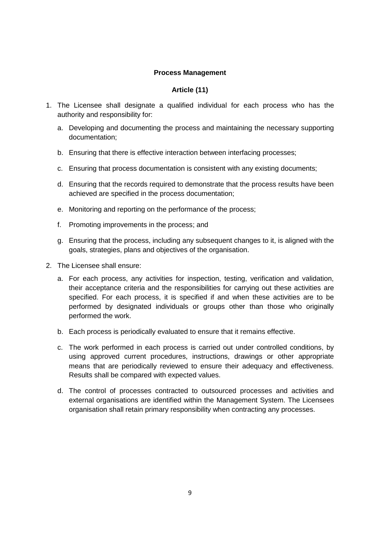#### **Process Management**

#### **Article (11)**

- <span id="page-8-1"></span><span id="page-8-0"></span>1. The Licensee shall designate a qualified individual for each process who has the authority and responsibility for:
	- a. Developing and documenting the process and maintaining the necessary supporting documentation;
	- b. Ensuring that there is effective interaction between interfacing processes;
	- c. Ensuring that process documentation is consistent with any existing documents;
	- d. Ensuring that the records required to demonstrate that the process results have been achieved are specified in the process documentation;
	- e. Monitoring and reporting on the performance of the process;
	- f. Promoting improvements in the process; and
	- g. Ensuring that the process, including any subsequent changes to it, is aligned with the goals, strategies, plans and objectives of the organisation.
- 2. The Licensee shall ensure:
	- a. For each process, any activities for inspection, testing, verification and validation, their acceptance criteria and the responsibilities for carrying out these activities are specified. For each process, it is specified if and when these activities are to be performed by designated individuals or groups other than those who originally performed the work.
	- b. Each process is periodically evaluated to ensure that it remains effective.
	- c. The work performed in each process is carried out under controlled conditions, by using approved current procedures, instructions, drawings or other appropriate means that are periodically reviewed to ensure their adequacy and effectiveness. Results shall be compared with expected values.
	- d. The control of processes contracted to outsourced processes and activities and external organisations are identified within the Management System. The Licensees organisation shall retain primary responsibility when contracting any processes.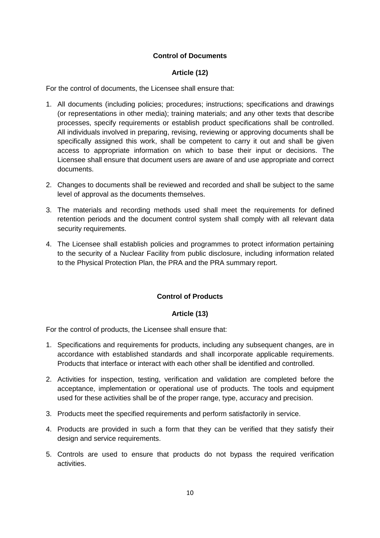#### **Control of Documents**

#### **Article (12)**

<span id="page-9-1"></span><span id="page-9-0"></span>For the control of documents, the Licensee shall ensure that:

- 1. All documents (including policies; procedures; instructions; specifications and drawings (or representations in other media); training materials; and any other texts that describe processes, specify requirements or establish product specifications shall be controlled. All individuals involved in preparing, revising, reviewing or approving documents shall be specifically assigned this work, shall be competent to carry it out and shall be given access to appropriate information on which to base their input or decisions. The Licensee shall ensure that document users are aware of and use appropriate and correct documents.
- 2. Changes to documents shall be reviewed and recorded and shall be subject to the same level of approval as the documents themselves.
- 3. The materials and recording methods used shall meet the requirements for defined retention periods and the document control system shall comply with all relevant data security requirements.
- 4. The Licensee shall establish policies and programmes to protect information pertaining to the security of a Nuclear Facility from public disclosure, including information related to the Physical Protection Plan, the PRA and the PRA summary report.

#### **Control of Products**

#### **Article (13)**

<span id="page-9-3"></span><span id="page-9-2"></span>For the control of products, the Licensee shall ensure that:

- 1. Specifications and requirements for products, including any subsequent changes, are in accordance with established standards and shall incorporate applicable requirements. Products that interface or interact with each other shall be identified and controlled.
- 2. Activities for inspection, testing, verification and validation are completed before the acceptance, implementation or operational use of products. The tools and equipment used for these activities shall be of the proper range, type, accuracy and precision.
- 3. Products meet the specified requirements and perform satisfactorily in service.
- 4. Products are provided in such a form that they can be verified that they satisfy their design and service requirements.
- 5. Controls are used to ensure that products do not bypass the required verification activities.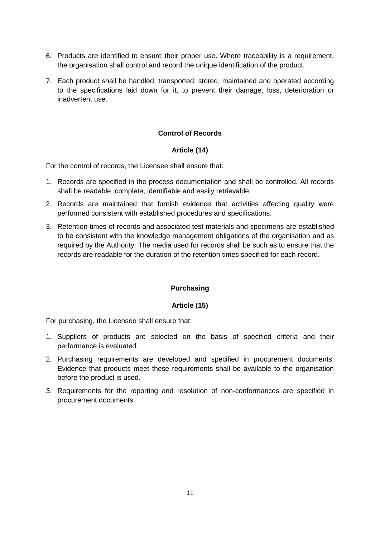- 6. Products are identified to ensure their proper use. Where traceability is a requirement, the organisation shall control and record the unique identification of the product.
- 7. Each product shall be handled, transported, stored, maintained and operated according to the specifications laid down for it, to prevent their damage, loss, deterioration or inadvertent use.

#### **Control of Records**

#### **Article (14)**

<span id="page-10-1"></span><span id="page-10-0"></span>For the control of records, the Licensee shall ensure that:

- 1. Records are specified in the process documentation and shall be controlled. All records shall be readable, complete, identifiable and easily retrievable.
- 2. Records are maintained that furnish evidence that activities affecting quality were performed consistent with established procedures and specifications.
- <span id="page-10-2"></span>3. Retention times of records and associated test materials and specimens are established to be consistent with the knowledge management obligations of the organisation and as required by the Authority. The media used for records shall be such as to ensure that the records are readable for the duration of the retention times specified for each record.

#### **Purchasing**

#### **Article (15)**

<span id="page-10-3"></span>For purchasing, the Licensee shall ensure that:

- 1. Suppliers of products are selected on the basis of specified criteria and their performance is evaluated.
- 2. Purchasing requirements are developed and specified in procurement documents. Evidence that products meet these requirements shall be available to the organisation before the product is used.
- <span id="page-10-4"></span>3. Requirements for the reporting and resolution of non-conformances are specified in procurement documents.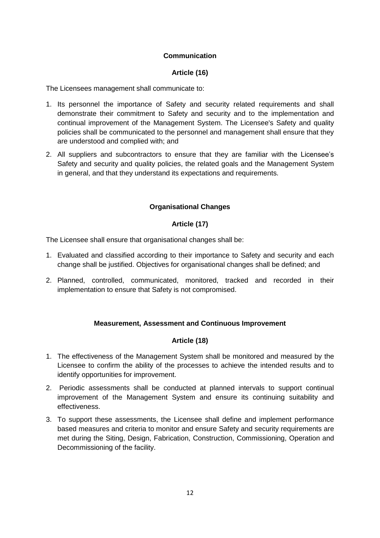#### **Communication**

#### **Article (16)**

<span id="page-11-0"></span>The Licensees management shall communicate to:

- 1. Its personnel the importance of Safety and security related requirements and shall demonstrate their commitment to Safety and security and to the implementation and continual improvement of the Management System. The Licensee's Safety and quality policies shall be communicated to the personnel and management shall ensure that they are understood and complied with; and
- 2. All suppliers and subcontractors to ensure that they are familiar with the Licensee's Safety and security and quality policies, the related goals and the Management System in general, and that they understand its expectations and requirements.

#### **Organisational Changes**

#### **Article (17)**

<span id="page-11-2"></span><span id="page-11-1"></span>The Licensee shall ensure that organisational changes shall be:

- 1. Evaluated and classified according to their importance to Safety and security and each change shall be justified. Objectives for organisational changes shall be defined; and
- 2. Planned, controlled, communicated, monitored, tracked and recorded in their implementation to ensure that Safety is not compromised.

#### **Measurement, Assessment and Continuous Improvement**

#### **Article (18)**

- <span id="page-11-4"></span><span id="page-11-3"></span>1. The effectiveness of the Management System shall be monitored and measured by the Licensee to confirm the ability of the processes to achieve the intended results and to identify opportunities for improvement.
- 2. Periodic assessments shall be conducted at planned intervals to support continual improvement of the Management System and ensure its continuing suitability and effectiveness.
- 3. To support these assessments, the Licensee shall define and implement performance based measures and criteria to monitor and ensure Safety and security requirements are met during the Siting, Design, Fabrication, Construction, Commissioning, Operation and Decommissioning of the facility.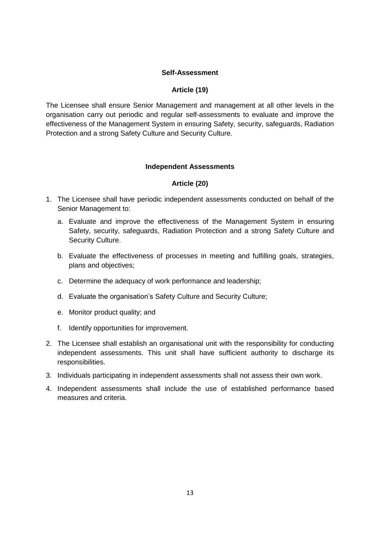#### **Self-Assessment**

#### **Article (19)**

<span id="page-12-1"></span><span id="page-12-0"></span>The Licensee shall ensure Senior Management and management at all other levels in the organisation carry out periodic and regular self-assessments to evaluate and improve the effectiveness of the Management System in ensuring Safety, security, safeguards, Radiation Protection and a strong Safety Culture and Security Culture.

#### **Independent Assessments**

#### **Article (20)**

- <span id="page-12-3"></span><span id="page-12-2"></span>1. The Licensee shall have periodic independent assessments conducted on behalf of the Senior Management to:
	- a. Evaluate and improve the effectiveness of the Management System in ensuring Safety, security, safeguards, Radiation Protection and a strong Safety Culture and Security Culture.
	- b. Evaluate the effectiveness of processes in meeting and fulfilling goals, strategies, plans and objectives;
	- c. Determine the adequacy of work performance and leadership;
	- d. Evaluate the organisation's Safety Culture and Security Culture;
	- e. Monitor product quality; and
	- f. Identify opportunities for improvement.
- 2. The Licensee shall establish an organisational unit with the responsibility for conducting independent assessments. This unit shall have sufficient authority to discharge its responsibilities.
- 3. Individuals participating in independent assessments shall not assess their own work.
- 4. Independent assessments shall include the use of established performance based measures and criteria.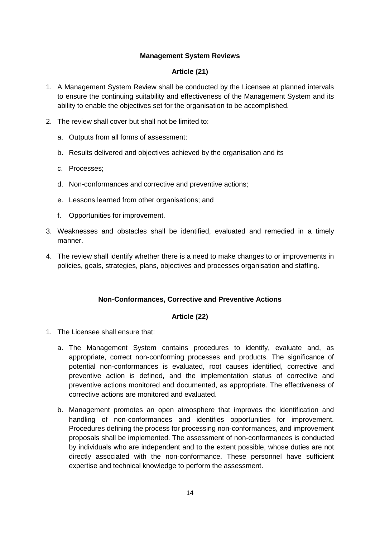#### **Management System Reviews**

#### **Article (21)**

- <span id="page-13-1"></span><span id="page-13-0"></span>1. A Management System Review shall be conducted by the Licensee at planned intervals to ensure the continuing suitability and effectiveness of the Management System and its ability to enable the objectives set for the organisation to be accomplished.
- 2. The review shall cover but shall not be limited to:
	- a. Outputs from all forms of assessment;
	- b. Results delivered and objectives achieved by the organisation and its
	- c. Processes;
	- d. Non-conformances and corrective and preventive actions;
	- e. Lessons learned from other organisations; and
	- f. Opportunities for improvement.
- 3. Weaknesses and obstacles shall be identified, evaluated and remedied in a timely manner.
- 4. The review shall identify whether there is a need to make changes to or improvements in policies, goals, strategies, plans, objectives and processes organisation and staffing.

#### **Non-Conformances, Corrective and Preventive Actions**

#### **Article (22)**

- <span id="page-13-3"></span><span id="page-13-2"></span>1. The Licensee shall ensure that:
	- a. The Management System contains procedures to identify, evaluate and, as appropriate, correct non-conforming processes and products. The significance of potential non-conformances is evaluated, root causes identified, corrective and preventive action is defined, and the implementation status of corrective and preventive actions monitored and documented, as appropriate. The effectiveness of corrective actions are monitored and evaluated.
	- b. Management promotes an open atmosphere that improves the identification and handling of non-conformances and identifies opportunities for improvement. Procedures defining the process for processing non-conformances, and improvement proposals shall be implemented. The assessment of non-conformances is conducted by individuals who are independent and to the extent possible, whose duties are not directly associated with the non-conformance. These personnel have sufficient expertise and technical knowledge to perform the assessment.